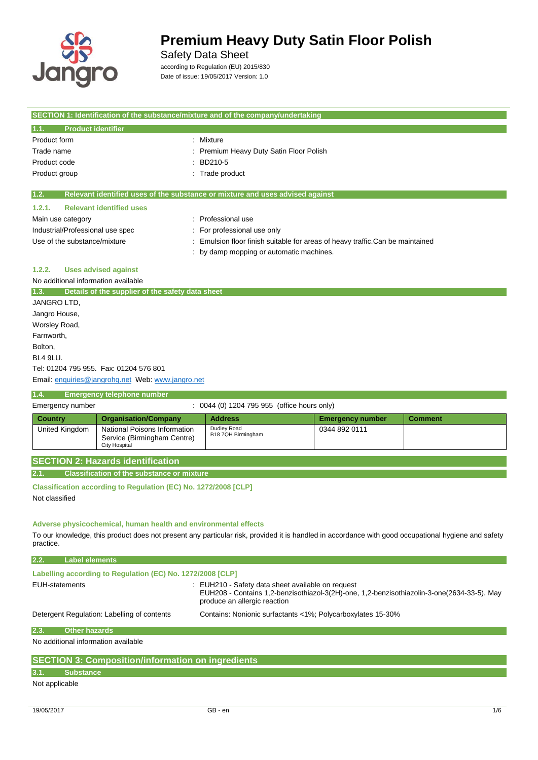

Safety Data Sheet

according to Regulation (EU) 2015/830 Date of issue: 19/05/2017 Version: 1.0

| SECTION 1: Identification of the substance/mixture and of the company/undertaking |                                                                               |  |
|-----------------------------------------------------------------------------------|-------------------------------------------------------------------------------|--|
| 1.1.<br><b>Product identifier</b>                                                 |                                                                               |  |
| Product form                                                                      | Mixture                                                                       |  |
| Trade name                                                                        | Premium Heavy Duty Satin Floor Polish                                         |  |
| Product code                                                                      | BD210-5                                                                       |  |
| Product group                                                                     | : Trade product                                                               |  |
| 1.2.                                                                              | Relevant identified uses of the substance or mixture and uses advised against |  |
| <b>Relevant identified uses</b><br>1.2.1.                                         |                                                                               |  |
| Main use category                                                                 | Professional use                                                              |  |
| Industrial/Professional use spec                                                  | For professional use only                                                     |  |
| Use of the substance/mixture                                                      | Emulsion floor finish suitable for areas of heavy traffic.Can be maintained   |  |
|                                                                                   | : by damp mopping or automatic machines.                                      |  |
| <b>Uses advised against</b><br>1.2.2.                                             |                                                                               |  |
| No additional information available                                               |                                                                               |  |
| 1.3.<br>Details of the supplier of the safety data sheet                          |                                                                               |  |
| JANGRO LTD,                                                                       |                                                                               |  |
| Jangro House,                                                                     |                                                                               |  |
| Worsley Road,                                                                     |                                                                               |  |
| Farnworth,                                                                        |                                                                               |  |
| Bolton,                                                                           |                                                                               |  |
| <b>BL4 9LU.</b>                                                                   |                                                                               |  |
| Tel: 01204 795 955. Fax: 01204 576 801                                            |                                                                               |  |

Email[: enquiries@jangrohq.net](mailto:enquiries@jangrohq.net) Web: [www.jangro.net](http://www.jangro.net/)

### **1.4. Emergency telephone number**

| Emergency number |                                                                                     | 0044 (0) 1204 795 955 (office hours only) |                         |                |
|------------------|-------------------------------------------------------------------------------------|-------------------------------------------|-------------------------|----------------|
| <b>Country</b>   | <b>Organisation/Company</b>                                                         | <b>Address</b>                            | <b>Emergency number</b> | <b>Comment</b> |
| United Kingdom   | National Poisons Information<br>Service (Birmingham Centre)<br><b>City Hospital</b> | Dudley Road<br>B18 7QH Birmingham         | 0344 892 0111           |                |

|  | <b>SECTION 2: Hazards identification</b> |  |
|--|------------------------------------------|--|
|  |                                          |  |

**2.1. Classification of the substance or mixture**

**Classification according to Regulation (EC) No. 1272/2008 [CLP]** Not classified

#### **Adverse physicochemical, human health and environmental effects**

To our knowledge, this product does not present any particular risk, provided it is handled in accordance with good occupational hygiene and safety practice.

| 2.2.           | <b>Label elements</b>                                      |                                                                                                                                                                                 |
|----------------|------------------------------------------------------------|---------------------------------------------------------------------------------------------------------------------------------------------------------------------------------|
|                | Labelling according to Regulation (EC) No. 1272/2008 [CLP] |                                                                                                                                                                                 |
| EUH-statements |                                                            | : EUH210 - Safety data sheet available on request<br>EUH208 - Contains 1,2-benzisothiazol-3(2H)-one, 1,2-benzisothiazolin-3-one(2634-33-5). May<br>produce an allergic reaction |
|                | Detergent Regulation: Labelling of contents                | Contains: Nonionic surfactants <1%; Polycarboxylates 15-30%                                                                                                                     |
| 2.3.           | <b>Other hazards</b>                                       |                                                                                                                                                                                 |
|                | No additional information available                        |                                                                                                                                                                                 |

### **SECTION 3: Composition/information on ingredients 3.1. Substance**

Not applicable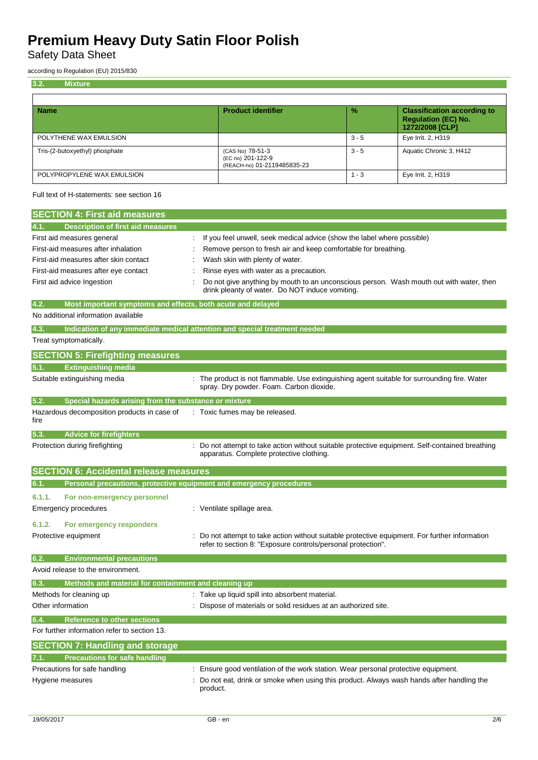Safety Data Sheet

according to Regulation (EU) 2015/830

| 3.2.<br><b>Mixture</b>         |                                                                      |               |                                                                                     |
|--------------------------------|----------------------------------------------------------------------|---------------|-------------------------------------------------------------------------------------|
|                                |                                                                      |               |                                                                                     |
| <b>Name</b>                    | <b>Product identifier</b>                                            | $\frac{9}{6}$ | <b>Classification according to</b><br><b>Regulation (EC) No.</b><br>1272/2008 [CLP] |
| POLYTHENE WAX EMULSION         |                                                                      | $3 - 5$       | Eye Irrit. 2, H319                                                                  |
| Tris-(2-butoxyethyl) phosphate | (CAS No) 78-51-3<br>(EC no) 201-122-9<br>(REACH-no) 01-2119485835-23 | $3 - 5$       | Aquatic Chronic 3, H412                                                             |
| POLYPROPYLENE WAX EMULSION     |                                                                      | - 3           | Eye Irrit. 2, H319                                                                  |

Full text of H-statements: see section 16

| <b>SECTION 4: First aid measures</b>                                                                                                                                             |                                                                                                                                                                                                                                                                                                                                                                      |
|----------------------------------------------------------------------------------------------------------------------------------------------------------------------------------|----------------------------------------------------------------------------------------------------------------------------------------------------------------------------------------------------------------------------------------------------------------------------------------------------------------------------------------------------------------------|
| Description of first aid measures<br>4.1.                                                                                                                                        |                                                                                                                                                                                                                                                                                                                                                                      |
| First aid measures general<br>First-aid measures after inhalation<br>First-aid measures after skin contact<br>First-aid measures after eye contact<br>First aid advice Ingestion | If you feel unwell, seek medical advice (show the label where possible)<br>Remove person to fresh air and keep comfortable for breathing.<br>Wash skin with plenty of water.<br>Rinse eyes with water as a precaution.<br>Do not give anything by mouth to an unconscious person. Wash mouth out with water, then<br>drink pleanty of water. Do NOT induce vomiting. |
| Most important symptoms and effects, both acute and delayed<br>4.2.                                                                                                              |                                                                                                                                                                                                                                                                                                                                                                      |
| No additional information available                                                                                                                                              |                                                                                                                                                                                                                                                                                                                                                                      |
| 4.3.                                                                                                                                                                             | Indication of any immediate medical attention and special treatment needed                                                                                                                                                                                                                                                                                           |
| Treat symptomatically.                                                                                                                                                           |                                                                                                                                                                                                                                                                                                                                                                      |
| <b>SECTION 5: Firefighting measures</b>                                                                                                                                          |                                                                                                                                                                                                                                                                                                                                                                      |
| 5.1.<br><b>Extinguishing media</b>                                                                                                                                               |                                                                                                                                                                                                                                                                                                                                                                      |
| Suitable extinguishing media                                                                                                                                                     | : The product is not flammable. Use extinguishing agent suitable for surrounding fire. Water<br>spray. Dry powder. Foam. Carbon dioxide.                                                                                                                                                                                                                             |
| 5.2.<br>Special hazards arising from the substance or mixture                                                                                                                    |                                                                                                                                                                                                                                                                                                                                                                      |
| Hazardous decomposition products in case of<br>fire                                                                                                                              | : Toxic fumes may be released.                                                                                                                                                                                                                                                                                                                                       |
| <b>Advice for firefighters</b><br>5.3.                                                                                                                                           |                                                                                                                                                                                                                                                                                                                                                                      |
| Protection during firefighting                                                                                                                                                   | Do not attempt to take action without suitable protective equipment. Self-contained breathing<br>apparatus. Complete protective clothing.                                                                                                                                                                                                                            |
| <b>SECTION 6: Accidental release measures</b>                                                                                                                                    |                                                                                                                                                                                                                                                                                                                                                                      |
| Personal precautions, protective equipment and emergency procedures<br>6.1.                                                                                                      |                                                                                                                                                                                                                                                                                                                                                                      |
| 6.1.1.<br>For non-emergency personnel<br>Emergency procedures                                                                                                                    | : Ventilate spillage area.                                                                                                                                                                                                                                                                                                                                           |
| 6.1.2.<br>For emergency responders<br>Protective equipment                                                                                                                       | Do not attempt to take action without suitable protective equipment. For further information<br>refer to section 8: "Exposure controls/personal protection".                                                                                                                                                                                                         |
| 6.2.<br><b>Environmental precautions</b>                                                                                                                                         |                                                                                                                                                                                                                                                                                                                                                                      |
| Avoid release to the environment.                                                                                                                                                |                                                                                                                                                                                                                                                                                                                                                                      |
| Methods and material for containment and cleaning up<br>6.3.                                                                                                                     |                                                                                                                                                                                                                                                                                                                                                                      |
| Methods for cleaning up                                                                                                                                                          | : Take up liquid spill into absorbent material.                                                                                                                                                                                                                                                                                                                      |
| Other information                                                                                                                                                                | Dispose of materials or solid residues at an authorized site.                                                                                                                                                                                                                                                                                                        |
| 6.4.<br><b>Reference to other sections</b>                                                                                                                                       |                                                                                                                                                                                                                                                                                                                                                                      |
| For further information refer to section 13.                                                                                                                                     |                                                                                                                                                                                                                                                                                                                                                                      |
| <b>SECTION 7: Handling and storage</b>                                                                                                                                           |                                                                                                                                                                                                                                                                                                                                                                      |
| <b>Precautions for safe handling</b>                                                                                                                                             |                                                                                                                                                                                                                                                                                                                                                                      |
| Precautions for safe handling                                                                                                                                                    | Ensure good ventilation of the work station. Wear personal protective equipment.                                                                                                                                                                                                                                                                                     |
| Hygiene measures                                                                                                                                                                 | Do not eat, drink or smoke when using this product. Always wash hands after handling the<br>product.                                                                                                                                                                                                                                                                 |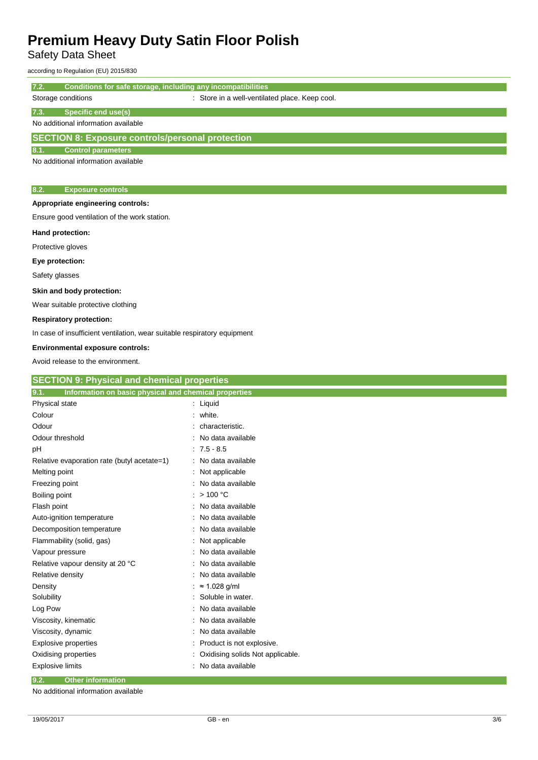Safety Data Sheet

according to Regulation (EU) 2015/830

**7.2. Conditions for safe storage, including any incompatibilities**

| Storage conditions                                      | : Store in a well-ventilated place. Keep cool. |  |
|---------------------------------------------------------|------------------------------------------------|--|
| Specific end use(s)<br>7.3.                             |                                                |  |
| No additional information available                     |                                                |  |
| <b>SECTION 8: Exposure controls/personal protection</b> |                                                |  |
| <b>Control parameters</b><br>8.1.                       |                                                |  |
|                                                         |                                                |  |

No additional information available

#### **8.2. Exposure controls**

**Appropriate engineering controls:**

Ensure good ventilation of the work station.

#### **Hand protection:**

Protective gloves

**Eye protection:**

Safety glasses

#### **Skin and body protection:**

Wear suitable protective clothing

#### **Respiratory protection:**

In case of insufficient ventilation, wear suitable respiratory equipment

#### **Environmental exposure controls:**

Avoid release to the environment.

| <b>SECTION 9: Physical and chemical properties</b>            |                                  |
|---------------------------------------------------------------|----------------------------------|
| 9.1.<br>Information on basic physical and chemical properties |                                  |
| Physical state                                                | $:$ Liquid                       |
| Colour                                                        | white.                           |
| Odour                                                         | characteristic.                  |
| Odour threshold                                               | No data available                |
| рH                                                            | $7.5 - 8.5$                      |
| Relative evaporation rate (butyl acetate=1)                   | No data available                |
| Melting point                                                 | Not applicable                   |
| Freezing point                                                | No data available                |
| Boiling point                                                 | >100 °C                          |
| Flash point                                                   | No data available                |
| Auto-ignition temperature                                     | No data available                |
| Decomposition temperature                                     | No data available                |
| Flammability (solid, gas)                                     | Not applicable                   |
| Vapour pressure                                               | No data available                |
| Relative vapour density at 20 °C                              | No data available                |
| Relative density                                              | No data available                |
| Density                                                       | $\approx$ 1.028 g/ml             |
| Solubility                                                    | Soluble in water.                |
| Log Pow                                                       | No data available                |
| Viscosity, kinematic                                          | No data available                |
| Viscosity, dynamic                                            | No data available                |
| <b>Explosive properties</b>                                   | Product is not explosive.        |
| Oxidising properties                                          | Oxidising solids Not applicable. |
| <b>Explosive limits</b>                                       | No data available                |
| 9.2.<br><b>Other information</b>                              |                                  |

No additional information available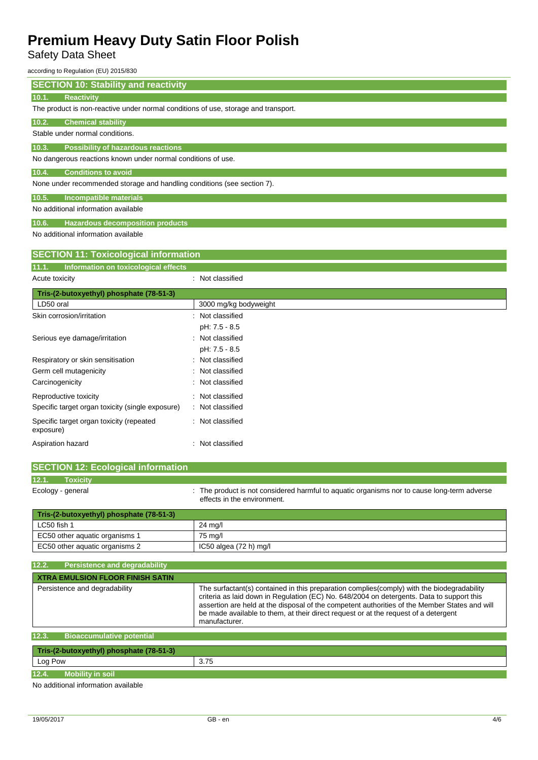Safety Data Sheet

according to Regulation (EU) 2015/830

| according to Regulation (EO) 2013/830                                              |                       |
|------------------------------------------------------------------------------------|-----------------------|
| <b>SECTION 10: Stability and reactivity</b>                                        |                       |
| <b>Reactivity</b><br>10.1.                                                         |                       |
| The product is non-reactive under normal conditions of use, storage and transport. |                       |
| 10.2.<br><b>Chemical stability</b>                                                 |                       |
| Stable under normal conditions.                                                    |                       |
| 10.3.<br><b>Possibility of hazardous reactions</b>                                 |                       |
| No dangerous reactions known under normal conditions of use.                       |                       |
| 10.4.<br><b>Conditions to avoid</b>                                                |                       |
| None under recommended storage and handling conditions (see section 7).            |                       |
| <b>Incompatible materials</b><br>10.5.                                             |                       |
| No additional information available                                                |                       |
| <b>Hazardous decomposition products</b><br>10.6.                                   |                       |
| No additional information available                                                |                       |
|                                                                                    |                       |
| <b>SECTION 11: Toxicological information</b>                                       |                       |
| Information on toxicological effects<br>11.1.                                      |                       |
| Acute toxicity                                                                     | : Not classified      |
| Tris-(2-butoxyethyl) phosphate (78-51-3)                                           |                       |
| LD50 oral                                                                          | 3000 mg/kg bodyweight |
| Skin corrosion/irritation                                                          | Not classified        |
|                                                                                    | pH: 7.5 - 8.5         |
| Serious eye damage/irritation                                                      | Not classified        |
|                                                                                    | pH: 7.5 - 8.5         |
| Respiratory or skin sensitisation                                                  | Not classified        |
| Germ cell mutagenicity                                                             | Not classified        |
| Carcinogenicity                                                                    | Not classified        |
| Reproductive toxicity                                                              | Not classified        |
|                                                                                    |                       |

Specific target organ toxicity (single exposure) : Not classified Specific target organ toxicity (repeated exposure) : Not classified Aspiration hazard **in the set of the set of the set of the set of the set of the set of the set of the set of the set of the set of the set of the set of the set of the set of the set of the set of the set of the set of th** 

EC50 other aquatic organisms 2 IC50 algea (72 h) mg/l

| <b>SECTION 12: Ecological information</b> |                                                                                                                            |
|-------------------------------------------|----------------------------------------------------------------------------------------------------------------------------|
| 12.1.<br><b>Toxicity</b>                  |                                                                                                                            |
| Ecology - general                         | : The product is not considered harmful to aquatic organisms nor to cause long-term adverse<br>effects in the environment. |
| Tris-(2-butoxyethyl) phosphate (78-51-3)  |                                                                                                                            |
| LC50 fish 1                               | 24 ma/l                                                                                                                    |
| EC50 other aquatic organisms 1            | 75 mg/l                                                                                                                    |

| 12.2.<br><b>Persistence and degradability</b> |                                                                                                                                                                                                                                                                                                                                                                                                  |
|-----------------------------------------------|--------------------------------------------------------------------------------------------------------------------------------------------------------------------------------------------------------------------------------------------------------------------------------------------------------------------------------------------------------------------------------------------------|
| <b>XTRA EMULSION FLOOR FINISH SATIN</b>       |                                                                                                                                                                                                                                                                                                                                                                                                  |
| Persistence and degradability                 | The surfactant(s) contained in this preparation complies(comply) with the biodegradability<br>criteria as laid down in Regulation (EC) No. 648/2004 on detergents. Data to support this<br>assertion are held at the disposal of the competent authorities of the Member States and will<br>be made available to them, at their direct request or at the request of a detergent<br>manufacturer. |
| 12.3.<br><b>Bioaccumulative potential</b>     |                                                                                                                                                                                                                                                                                                                                                                                                  |
| Tris-(2-butoxyethyl) phosphate (78-51-3)      |                                                                                                                                                                                                                                                                                                                                                                                                  |

| Tris-(2-butoxyethyl) phosphate (78-51-3) |      |
|------------------------------------------|------|
| Log Pow                                  | 3.75 |
| 12.4.<br><b>Mobility in soil</b>         |      |
| .                                        |      |

No additional information available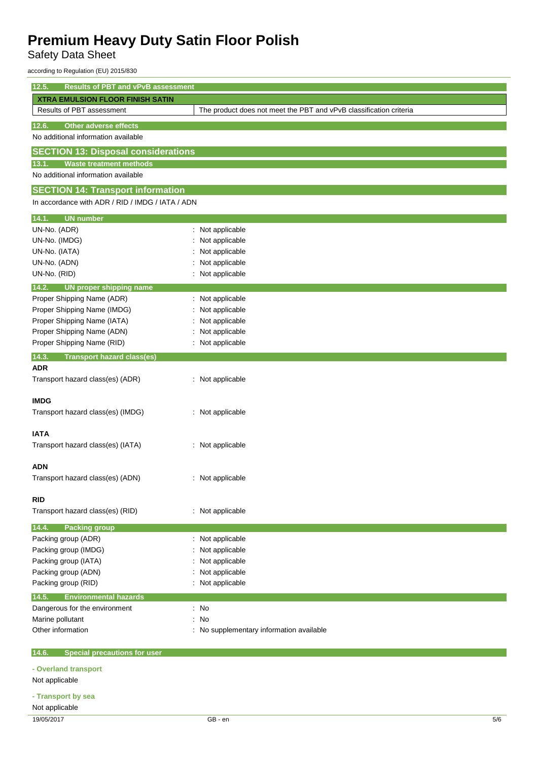Safety Data Sheet

according to Regulation (EU) 2015/830

| 12.5.<br><b>Results of PBT and vPvB assessment</b> |                                                                    |  |
|----------------------------------------------------|--------------------------------------------------------------------|--|
| <b>XTRA EMULSION FLOOR FINISH SATIN</b>            |                                                                    |  |
| Results of PBT assessment                          | The product does not meet the PBT and vPvB classification criteria |  |
| <b>Other adverse effects</b><br>12.6.              |                                                                    |  |
| No additional information available                |                                                                    |  |
| <b>SECTION 13: Disposal considerations</b>         |                                                                    |  |
| <b>Waste treatment methods</b><br>13.1.            |                                                                    |  |
| No additional information available                |                                                                    |  |
| <b>SECTION 14: Transport information</b>           |                                                                    |  |
| In accordance with ADR / RID / IMDG / IATA / ADN   |                                                                    |  |
|                                                    |                                                                    |  |
| <b>UN number</b><br>14.1.<br>UN-No. (ADR)          | : Not applicable                                                   |  |
| UN-No. (IMDG)                                      | Not applicable                                                     |  |
| UN-No. (IATA)                                      | Not applicable                                                     |  |
| UN-No. (ADN)                                       | Not applicable                                                     |  |
| UN-No. (RID)                                       | : Not applicable                                                   |  |
| 14.2.<br><b>UN proper shipping name</b>            |                                                                    |  |
| Proper Shipping Name (ADR)                         | : Not applicable                                                   |  |
| Proper Shipping Name (IMDG)                        | : Not applicable                                                   |  |
| Proper Shipping Name (IATA)                        | Not applicable                                                     |  |
| Proper Shipping Name (ADN)                         | Not applicable                                                     |  |
| Proper Shipping Name (RID)                         | : Not applicable                                                   |  |
| 14.3.<br><b>Transport hazard class(es)</b>         |                                                                    |  |
| <b>ADR</b>                                         |                                                                    |  |
| Transport hazard class(es) (ADR)                   | : Not applicable                                                   |  |
|                                                    |                                                                    |  |
| <b>IMDG</b>                                        |                                                                    |  |
| Transport hazard class(es) (IMDG)                  | : Not applicable                                                   |  |
| <b>IATA</b>                                        |                                                                    |  |
| Transport hazard class(es) (IATA)                  | : Not applicable                                                   |  |
|                                                    |                                                                    |  |
| ADN                                                |                                                                    |  |
| Transport hazard class(es) (ADN)                   | : Not applicable                                                   |  |
|                                                    |                                                                    |  |
| <b>RID</b>                                         |                                                                    |  |
| Transport hazard class(es) (RID)                   | : Not applicable                                                   |  |
| 14.4.<br><b>Packing group</b>                      |                                                                    |  |
| Packing group (ADR)                                | : Not applicable                                                   |  |
| Packing group (IMDG)                               | Not applicable                                                     |  |
| Packing group (IATA)                               | Not applicable                                                     |  |
| Packing group (ADN)                                | Not applicable                                                     |  |
| Packing group (RID)                                | : Not applicable                                                   |  |
| <b>Environmental hazards</b><br>14.5.              |                                                                    |  |
| Dangerous for the environment                      | : No                                                               |  |
| Marine pollutant                                   | : No                                                               |  |
| Other information                                  | : No supplementary information available                           |  |
| <b>Special precautions for user</b><br>14.6.       |                                                                    |  |
| - Overland transport                               |                                                                    |  |
| Not applicable                                     |                                                                    |  |
| - Transport by sea                                 |                                                                    |  |
| Not applicable                                     |                                                                    |  |